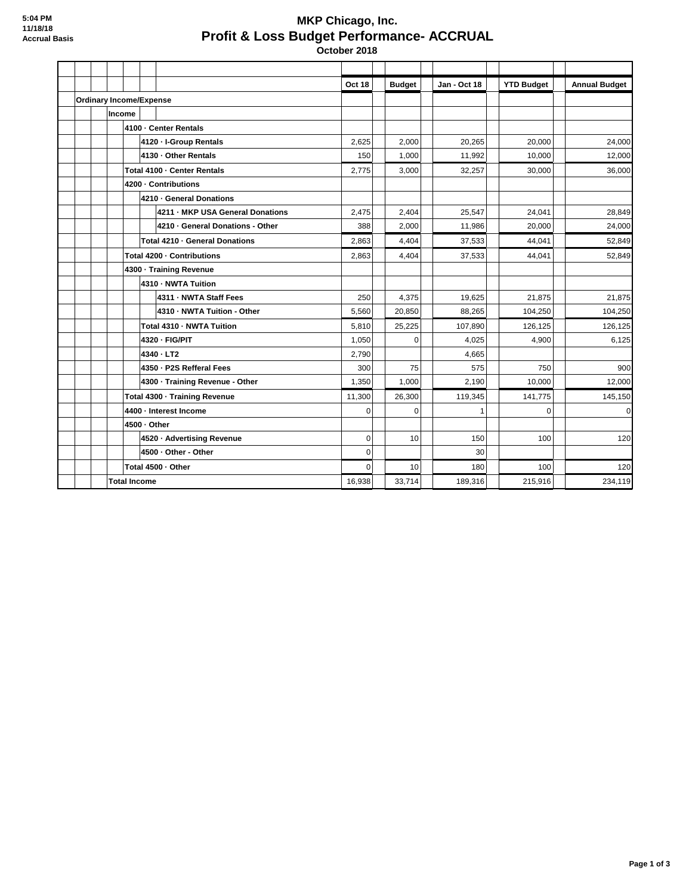## **MKP Chicago, Inc. Profit & Loss Budget Performance- ACCRUAL October 2018**

**Oct 18 Budget Jan - Oct 18** YTD Budget **Annual Budget Ordinary Income/Expense Income 4100 · Center Rentals 4120 · I-Group Rentals** 24,000 24,000 25,625 26,000 20,000 24,000 24,000 **4130 · Other Rentals** 150 150 150 11,000 11,992 10,000 12,000 12,000 **Total 4100 · Center Rentals** 2,775 3,000 32,257 30,000 36,000 **4200 · Contributions 4210 · General Donations 4211 · MKP USA General Donations**  $\begin{array}{|c|c|c|c|c|c|} \hline 2,475 & 2,040 & 25,547 & 24,041 & 28,849 \ \hline \end{array}$ **4210 · General Donations - Other 1388** 2,000 11,986 20,000 20,000 24,000 **Total 4210 · General Donations** 2,863 4,404 37,533 44,041 52,849 **Total 4200 · Contributions** 2,863 4,404 37,533 44,041 52,849 **4300 · Training Revenue 4310 · NWTA Tuition 4311 · NWTA Staff Fees** 21,875 250 250 250 250 250 27,875 21,875 21,875 **4310 · NWTA Tuition - Other**  | 5,560 | | 20,850 | | 88,265 | | 104,250 | | 104,250 **Total 4310 · NWTA Tuition 126,125 126,125 126,125 126,125 126,125 126,125 4320 · FIG/PIT** 6,125 **1,050** 6,125 **1,050** 6,125 **4340 · LT2** 4,665 **4350 · P2S Refferal Fees** 300 300 75 1 75 575 750 750 900 **4300 · Training Revenue - Other** 1,350 | 1,350 | 1,000 | 2,190 | 10,000 | 12,000 **Total 4300 · Training Revenue** 11,300 | 26,300 | 119,345 | 141,775 | 145,150 **4400 · Interest Income** 0 0 1 0 0 **4500 · Other 4520 · Advertising Revenue** 120 **10 10 100 150 100 100 120 120 120 120 120 4500 · Other - Other 1 200 · Other 1 200 · Other 1 200 · Other 1 200 · Other 1 200 · Other 1 200 · Other 1 200 · Other 1 200 · Other 1 200 · Other 1 200 · Other 1 200 · Other 1 200 · Other 1 200 Total 4500 · Other** 0 10 180 100 120 **Total Income** 16,938 33,714 189,316 215,916 234,119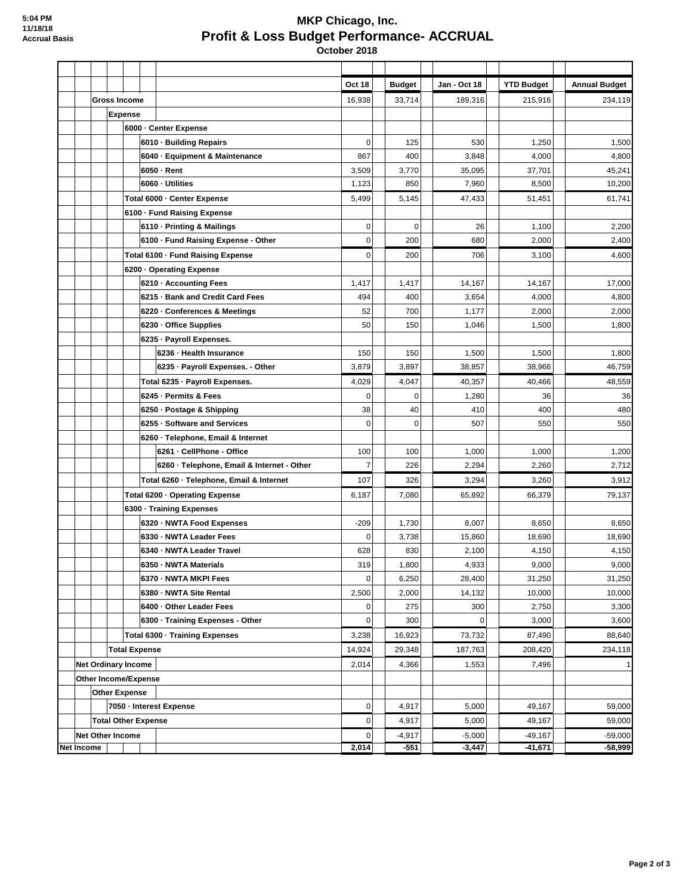**Other Expense**

## **MKP Chicago, Inc. Profit & Loss Budget Performance- ACCRUAL October 2018**

**Oct 18 Budget Jan - Oct 18 YTD Budget Annual Budget Gross Income** 16,938 33,714 189,316 215,916 234,119 **Expense 6000 · Center Expense 6010 · Building Repairs** 530 | 1,250 | 1,500 **6040 · Equipment & Maintenance**  $\begin{vmatrix} 867 & | & 400 & | & 3,848 & | & 4,000 & | & 4,800 \end{vmatrix}$ **6050 · Rent** 3,509 3,770 35,095 37,701 45,241 **6060 · Utilities** 1,123 850 7,960 8,500 10,200 **Total 6000 · Center Expense** 61,741 **5,499** 5,145 **51,451 51,451 51,451 61,741 6100 · Fund Raising Expense 6110 · Printing & Mailings 1.200 1.4 1.400 1.400 1.400 1.400 1.400 1.400 1.400 1.400 1.400 1.400 1.400 1.400 1.400 1.400 1.400 1.400 1.400 1.400 1.400 1.400 1.400 1.400 1.400 1.400 1.400 1.400 1.400 1.400 1.400 1.400 6100 · Fund Raising Expense - Other** 0 | | 200 | | 680 | | 2,000 | | 2,400 | 2,400 **Total 6100 · Fund Raising Expense** 0 200 706 3,100 4,600 **6200 · Operating Expense 6210 · Accounting Fees** 17,000 1,417 1,417 1,417 14,167 14,167 14,167 17,000 **6215 · Bank and Credit Card Fees**  $\begin{vmatrix} 494 & 400 & 3,654 \end{vmatrix}$   $\begin{vmatrix} 3,654 & 4,000 \end{vmatrix}$  4,000 **6220 · Conferences & Meetings**  $\begin{vmatrix} 62 & 700 & 1,177 \\ 2,000 & 2,000 \end{vmatrix}$  2,000 **6230 · Office Supplies** 6230 **1,046** 1,046 1,046 1,500 1,500 1,500 1,500 1,500 1,500 1,500 1,800 1,800 1,800 1,800 1,800 1,800 1,800 1,800 1,800 1,800 1,800 1,500 1,500 1,500 1,500 1,500 1,500 1,500 1,500 1,500 1,500 1,50 **6235 · Payroll Expenses. 6236 · Health Insurance** 150 150 150 150 1,500 1,500 1,500 1,500 1,500 1,500 1,800 **6235 · Payroll Expenses. - Other 3,879 38,857 38,966 46,759 Total 6235 · Payroll Expenses.** | 4,029 | 4,047 | 40,357 | 40,466 | 48,559 **6245 · Permits & Fees** 86 **1,280 1,280 1,280 36 1,280 36 36 6250 · Postage & Shipping** 38 40 410 400 480 **6255 · Software and Services** 0 0 507 550 550 **6260 · Telephone, Email & Internet 6261 · CellPhone - Office** | 100 | | 100 | | 1,000 | | 1,200 **6260 · Telephone, Email & Internet - Other**  $\begin{vmatrix} 7 & 226 & 2,294 \end{vmatrix}$  2,294 2,260 2,712 **Total 6260 · Telephone, Email & Internet**  $\begin{vmatrix} 107 & | & 326 & | & 3,294 & | & 3,260 & | & 3,912 \end{vmatrix}$ **Total 6200 · Operating Expense** 6,187 **65,892** 65,892 66,379 66,379 79,137 **6300 · Training Expenses 6320 · NWTA Food Expenses**  $\begin{vmatrix} .209 & 1,730 & 8,007 \end{vmatrix}$  8,050 8,650 8,650 **6330 · NWTA Leader Fees** 0 3,738 15,860 18,690 18,690 **6340 · NWTA Leader Travel** 628 830 2,100 4,150 4,150 **6350 · NWTA Materials** 319 | 319 | 1,800 | 4,933 | 9,000 | 9,000 9,000 **6370 · NWTA MKPI Fees** 31,250 **128,400** 128,400 **31,250 31,250** 31,250 **6380 · NWTA Site Rental 10.000 12,500 12,500 12,000 14,132 10,000 1000 10,000 1000 10,000 6400 · Other Leader Fees** 2,750 **8400 · Other Leader Fees** 3,300 **6300 · Training Expenses - Other** 0 300 0 3,000 3,600 **Total 6300 · Training Expenses** 3,238 16,923 73,732 87,490 88,640 **Total Expense** 14,924 29,348 187,763 208,420 234,118 **Net Ordinary Income 2008 1,553 7,496 1,553 7,496 1,553 7,496 1,553 7,496 1,553 1,553 7,496 1,553 1,553 1,553 1,553 1,553 1,553 1,553 1,553 1,553 1,554 1,553 1,554 1,553 1,553 1,553 1,553 1,553 1,553 1,553 1,553 1,553 1,55 Other Income/Expense**

**7050 · Interest Expense** 0 4,917 5,000 49,167 59,000 **Total Other Expense** 0 4,917 5,000 49,167 59,000 **Net Other Income 1 -49,167 -4,917 -5,000 -4,917 -5,000 -49,167 -59,000 -59,000 -59,000 -59,000 -59,000 -59,000 Net Income 2,014 -551 -3,447 -41,671 -58,999**